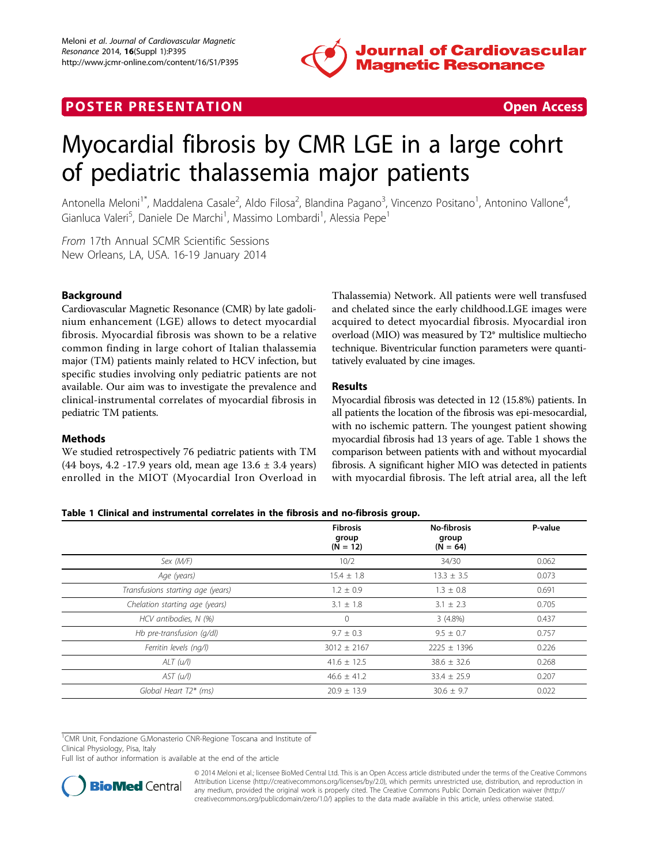

# POSTER PRESENTATION CONTRACT CONTRACT CONTRACT OPEN ACCESS



# Myocardial fibrosis by CMR LGE in a large cohrt of pediatric thalassemia major patients

Antonella Meloni<sup>1\*</sup>, Maddalena Casale<sup>2</sup>, Aldo Filosa<sup>2</sup>, Blandina Pagano<sup>3</sup>, Vincenzo Positano<sup>1</sup>, Antonino Vallone<sup>4</sup> , Gianluca Valeri<sup>5</sup>, Daniele De Marchi<sup>1</sup>, Massimo Lombardi<sup>1</sup>, Alessia Pepe<sup>1</sup>

From 17th Annual SCMR Scientific Sessions New Orleans, LA, USA. 16-19 January 2014

# Background

Cardiovascular Magnetic Resonance (CMR) by late gadolinium enhancement (LGE) allows to detect myocardial fibrosis. Myocardial fibrosis was shown to be a relative common finding in large cohort of Italian thalassemia major (TM) patients mainly related to HCV infection, but specific studies involving only pediatric patients are not available. Our aim was to investigate the prevalence and clinical-instrumental correlates of myocardial fibrosis in pediatric TM patients.

# **Methods**

We studied retrospectively 76 pediatric patients with TM (44 boys, 4.2 -17.9 years old, mean age 13.6 ± 3.4 years) enrolled in the MIOT (Myocardial Iron Overload in Thalassemia) Network. All patients were well transfused and chelated since the early childhood.LGE images were acquired to detect myocardial fibrosis. Myocardial iron overload (MIO) was measured by T2\* multislice multiecho technique. Biventricular function parameters were quantitatively evaluated by cine images.

# Results

Myocardial fibrosis was detected in 12 (15.8%) patients. In all patients the location of the fibrosis was epi-mesocardial, with no ischemic pattern. The youngest patient showing myocardial fibrosis had 13 years of age. Table 1 shows the comparison between patients with and without myocardial fibrosis. A significant higher MIO was detected in patients with myocardial fibrosis. The left atrial area, all the left

## Table 1 Clinical and instrumental correlates in the fibrosis and no-fibrosis group.

|                                   | <b>Fibrosis</b><br>group<br>$(N = 12)$ | <b>No-fibrosis</b><br>group<br>$(N = 64)$ | P-value |
|-----------------------------------|----------------------------------------|-------------------------------------------|---------|
| Sex (M/F)                         | 10/2                                   | 34/30                                     | 0.062   |
| Age (years)                       | $15.4 \pm 1.8$                         | $13.3 \pm 3.5$                            | 0.073   |
| Transfusions starting age (years) | $1.2 \pm 0.9$                          | $1.3 \pm 0.8$                             | 0.691   |
| Chelation starting age (years)    | $3.1 \pm 1.8$                          | $3.1 \pm 2.3$                             | 0.705   |
| HCV antibodies, N (%)             | $\circ$                                | $3(4.8\%)$                                | 0.437   |
| Hb pre-transfusion (g/dl)         | $9.7 \pm 0.3$                          | $9.5 \pm 0.7$                             | 0.757   |
| Ferritin levels (ng/l)            | $3012 \pm 2167$                        | $2225 \pm 1396$                           | 0.226   |
| ALT (u/l)                         | $41.6 \pm 12.5$                        | $38.6 \pm 32.6$                           | 0.268   |
| AST (u/l)                         | $46.6 \pm 41.2$                        | $33.4 \pm 25.9$                           | 0.207   |
| Global Heart T2* (ms)             | $20.9 \pm 13.9$                        | $30.6 \pm 9.7$                            | 0.022   |

<sup>1</sup>CMR Unit, Fondazione G.Monasterio CNR-Regione Toscana and Institute of Clinical Physiology, Pisa, Italy

Full list of author information is available at the end of the article



© 2014 Meloni et al.; licensee BioMed Central Ltd. This is an Open Access article distributed under the terms of the Creative Commons Attribution License [\(http://creativecommons.org/licenses/by/2.0](http://creativecommons.org/licenses/by/2.0)), which permits unrestricted use, distribution, and reproduction in any medium, provided the original work is properly cited. The Creative Commons Public Domain Dedication waiver [\(http://](http://creativecommons.org/publicdomain/zero/1.0/) [creativecommons.org/publicdomain/zero/1.0/](http://creativecommons.org/publicdomain/zero/1.0/)) applies to the data made available in this article, unless otherwise stated.